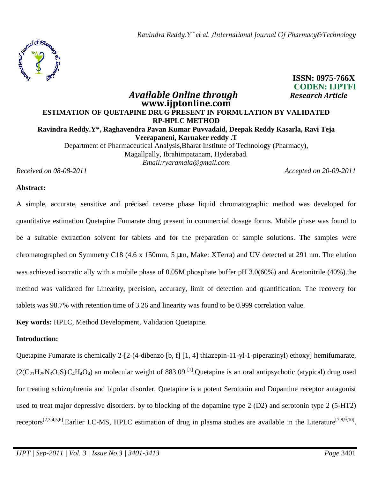

### **CODEN: IJPTFI** *Available Online through Research Article*  **www.ijptonline.com ESTIMATION OF QUETAPINE DRUG PRESENT IN FORMULATION BY VALIDATED RP-HPLC METHOD Ravindra Reddy.Y\*, Raghavendra Pavan Kumar Puvvadaid, Deepak Reddy Kasarla, Ravi Teja Veerapaneni, Karnaker reddy .T**  Department of Pharmaceutical Analysis,Bharat Institute of Technology (Pharmacy), Magallpally, Ibrahimpatanam, Hyderabad. *Email:ryaramala@gmail.com Received on 08-08-2011 Accepted on 20-09-2011*

**ISSN: 0975-766X**

# **Abstract:**

A simple, accurate, sensitive and précised reverse phase liquid chromatographic method was developed for quantitative estimation Quetapine Fumarate drug present in commercial dosage forms. Mobile phase was found to be a suitable extraction solvent for tablets and for the preparation of sample solutions. The samples were chromatographed on Symmetry C18 (4.6 x 150mm, 5 µm, Make: XTerra) and UV detected at 291 nm. The elution was achieved isocratic ally with a mobile phase of 0.05M phosphate buffer pH 3.0(60%) and Acetonitrile (40%).the method was validated for Linearity, precision, accuracy, limit of detection and quantification. The recovery for tablets was 98.7% with retention time of 3.26 and linearity was found to be 0.999 correlation value.

**Key words:** HPLC, Method Development, Validation Quetapine.

# **Introduction:**

Quetapine Fumarate is chemically 2-[2-(4-dibenzo [b, f] [1, 4] thiazepin-11-yl-1-piperazinyl) ethoxy] hemifumarate,  $(2(C_{21}H_{25}N_3O_2S)C_4H_4O_4)$  an molecular weight of 883.09<sup>[1]</sup>. Quetapine is an oral antipsychotic (atypical) drug used for treating schizophrenia and bipolar disorder. Quetapine is a potent Serotonin and Dopamine receptor antagonist used to treat major depressive disorders. by to blocking of the dopamine type 2 (D2) and serotonin type 2 (5-HT2) receptors<sup>[2,3,4,5,6]</sup>. Earlier LC-MS, HPLC estimation of drug in plasma studies are available in the Literature<sup>[7,8,9,10]</sup>.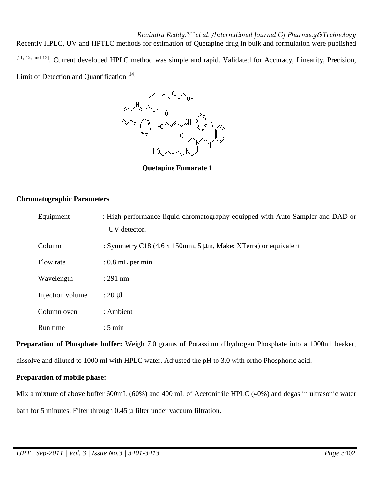*Ravindra Reddy.Y \* et al. /International Journal Of Pharmacy&Technology* Recently HPLC, UV and HPTLC methods for estimation of Quetapine drug in bulk and formulation were published [11, 12, and 13]. Current developed HPLC method was simple and rapid. Validated for Accuracy, Linearity, Precision, Limit of Detection and Quantification<sup>[14]</sup>



**Quetapine Fumarate 1**

# **Chromatographic Parameters**

| Equipment        | : High performance liquid chromatography equipped with Auto Sampler and DAD or<br>UV detector. |
|------------------|------------------------------------------------------------------------------------------------|
| Column           | : Symmetry C18 (4.6 x 150mm, 5 $\mu$ m, Make: XTerra) or equivalent                            |
| Flow rate        | $: 0.8$ mL per min                                                                             |
| Wavelength       | $: 291$ nm                                                                                     |
| Injection volume | $: 20 \mu l$                                                                                   |
| Column oven      | : Ambient                                                                                      |
| Run time         | $: 5 \text{ min}$                                                                              |

**Preparation of Phosphate buffer:** Weigh 7.0 grams of Potassium dihydrogen Phosphate into a 1000ml beaker, dissolve and diluted to 1000 ml with HPLC water. Adjusted the pH to 3.0 with ortho Phosphoric acid.

# **Preparation of mobile phase:**

Mix a mixture of above buffer 600mL (60%) and 400 mL of Acetonitrile HPLC (40%) and degas in ultrasonic water bath for 5 minutes. Filter through  $0.45 \mu$  filter under vacuum filtration.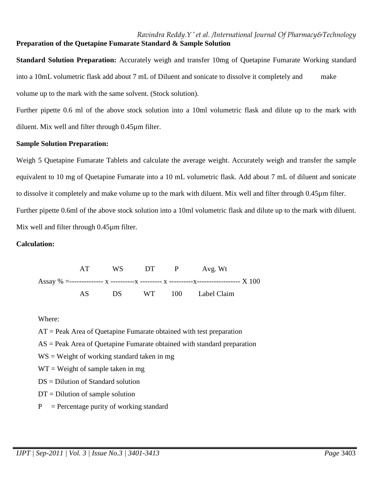# *Ravindra Reddy.Y \* et al. /International Journal Of Pharmacy&Technology* **Preparation of the Quetapine Fumarate Standard & Sample Solution**

**Standard Solution Preparation:** Accurately weigh and transfer 10mg of Quetapine Fumarate Working standard into a 10mL volumetric flask add about 7 mL of Diluent and sonicate to dissolve it completely and make volume up to the mark with the same solvent. (Stock solution).

Further pipette 0.6 ml of the above stock solution into a 10ml volumetric flask and dilute up to the mark with diluent. Mix well and filter through 0.45µm filter.

#### **Sample Solution Preparation:**

Weigh 5 Quetapine Fumarate Tablets and calculate the average weight. Accurately weigh and transfer the sample equivalent to 10 mg of Quetapine Fumarate into a 10 mL volumetric flask. Add about 7 mL of diluent and sonicate to dissolve it completely and make volume up to the mark with diluent. Mix well and filter through 0.45µm filter. Further pipette 0.6ml of the above stock solution into a 10ml volumetric flask and dilute up to the mark with diluent. Mix well and filter through 0.45µm filter.

# **Calculation:**

|  | AT   |  | WS DT P Avg. Wt       |
|--|------|--|-----------------------|
|  |      |  |                       |
|  | AS — |  | DS WT 100 Label Claim |

Where:

AT = Peak Area of Quetapine Fumarate obtained with test preparation

 $AS = Peak$  Area of Quetapine Fumarate obtained with standard preparation

 $WS = Weight of working standard taken in mg$ 

 $WT = Weight of sample taken in mg$ 

DS = Dilution of Standard solution

- $DT = Dilution of sample solution$
- $P =$  Percentage purity of working standard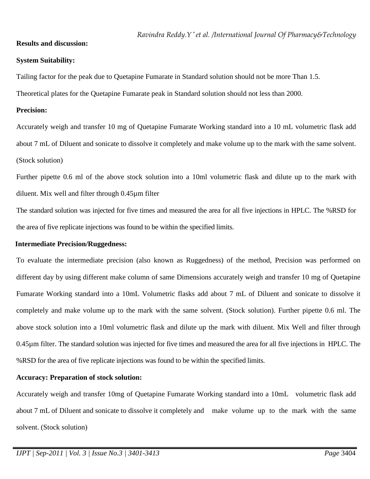# **Results and discussion:**

# **System Suitability:**

Tailing factor for the peak due to Quetapine Fumarate in Standard solution should not be more Than 1.5.

Theoretical plates for the Quetapine Fumarate peak in Standard solution should not less than 2000.

# **Precision:**

Accurately weigh and transfer 10 mg of Quetapine Fumarate Working standard into a 10 mL volumetric flask add about 7 mL of Diluent and sonicate to dissolve it completely and make volume up to the mark with the same solvent. (Stock solution)

Further pipette 0.6 ml of the above stock solution into a 10ml volumetric flask and dilute up to the mark with diluent. Mix well and filter through 0.45µm filter

The standard solution was injected for five times and measured the area for all five injections in HPLC. The %RSD for the area of five replicate injections was found to be within the specified limits.

# **Intermediate Precision/Ruggedness:**

To evaluate the intermediate precision (also known as Ruggedness) of the method, Precision was performed on different day by using different make column of same Dimensions accurately weigh and transfer 10 mg of Quetapine Fumarate Working standard into a 10mL Volumetric flasks add about 7 mL of Diluent and sonicate to dissolve it completely and make volume up to the mark with the same solvent. (Stock solution). Further pipette 0.6 ml. The above stock solution into a 10ml volumetric flask and dilute up the mark with diluent. Mix Well and filter through 0.45µm filter. The standard solution was injected for five times and measured the area for all five injections in HPLC. The %RSD for the area of five replicate injections was found to be within the specified limits.

# **Accuracy: Preparation of stock solution:**

Accurately weigh and transfer 10mg of Quetapine Fumarate Working standard into a 10mL volumetric flask add about 7 mL of Diluent and sonicate to dissolve it completely and make volume up to the mark with the same solvent. (Stock solution)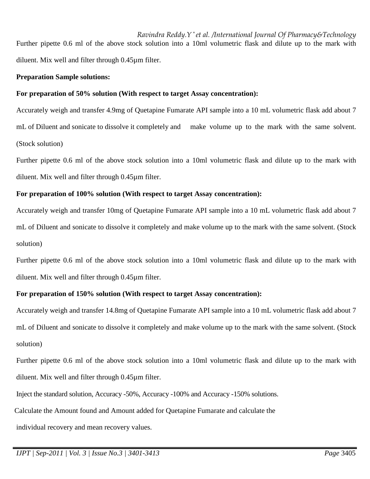*Ravindra Reddy.Y \* et al. /International Journal Of Pharmacy&Technology* Further pipette 0.6 ml of the above stock solution into a 10ml volumetric flask and dilute up to the mark with diluent. Mix well and filter through 0.45µm filter.

### **Preparation Sample solutions:**

### **For preparation of 50% solution (With respect to target Assay concentration):**

Accurately weigh and transfer 4.9mg of Quetapine Fumarate API sample into a 10 mL volumetric flask add about 7 mL of Diluent and sonicate to dissolve it completely and make volume up to the mark with the same solvent. (Stock solution)

Further pipette 0.6 ml of the above stock solution into a 10ml volumetric flask and dilute up to the mark with diluent. Mix well and filter through 0.45µm filter.

#### **For preparation of 100% solution (With respect to target Assay concentration):**

Accurately weigh and transfer 10mg of Quetapine Fumarate API sample into a 10 mL volumetric flask add about 7 mL of Diluent and sonicate to dissolve it completely and make volume up to the mark with the same solvent. (Stock solution)

Further pipette 0.6 ml of the above stock solution into a 10ml volumetric flask and dilute up to the mark with diluent. Mix well and filter through 0.45µm filter.

# **For preparation of 150% solution (With respect to target Assay concentration):**

Accurately weigh and transfer 14.8mg of Quetapine Fumarate API sample into a 10 mL volumetric flask add about 7 mL of Diluent and sonicate to dissolve it completely and make volume up to the mark with the same solvent. (Stock solution)

Further pipette 0.6 ml of the above stock solution into a 10ml volumetric flask and dilute up to the mark with diluent. Mix well and filter through 0.45µm filter.

Inject the standard solution, Accuracy -50%, Accuracy -100% and Accuracy -150% solutions.

Calculate the Amount found and Amount added for Quetapine Fumarate and calculate the

individual recovery and mean recovery values.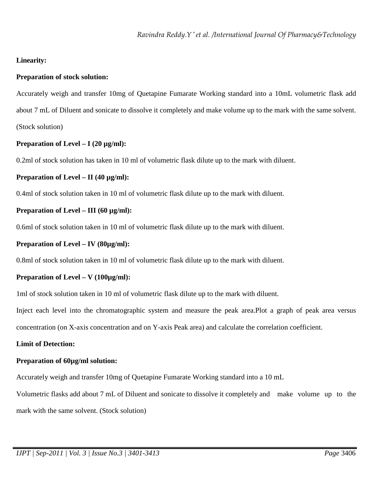# **Linearity:**

### **Preparation of stock solution:**

Accurately weigh and transfer 10mg of Quetapine Fumarate Working standard into a 10mL volumetric flask add about 7 mL of Diluent and sonicate to dissolve it completely and make volume up to the mark with the same solvent. (Stock solution)

# **Preparation of Level – I (20 µg/ml):**

0.2ml of stock solution has taken in 10 ml of volumetric flask dilute up to the mark with diluent.

#### **Preparation of Level – II (40 µg/ml):**

0.4ml of stock solution taken in 10 ml of volumetric flask dilute up to the mark with diluent.

#### **Preparation of Level – III (60 µg/ml):**

0.6ml of stock solution taken in 10 ml of volumetric flask dilute up to the mark with diluent.

#### **Preparation of Level – IV (80µg/ml):**

0.8ml of stock solution taken in 10 ml of volumetric flask dilute up to the mark with diluent.

#### **Preparation of Level – V (100µg/ml):**

1ml of stock solution taken in 10 ml of volumetric flask dilute up to the mark with diluent.

Inject each level into the chromatographic system and measure the peak area.Plot a graph of peak area versus

concentration (on X-axis concentration and on Y-axis Peak area) and calculate the correlation coefficient.

#### **Limit of Detection:**

#### **Preparation of 60µg/ml solution:**

Accurately weigh and transfer 10mg of Quetapine Fumarate Working standard into a 10 mL

Volumetric flasks add about 7 mL of Diluent and sonicate to dissolve it completely and make volume up to the mark with the same solvent. (Stock solution)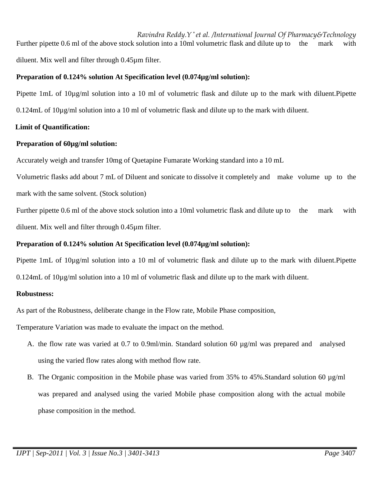*Ravindra Reddy.Y \* et al. /International Journal Of Pharmacy&Technology* Further pipette 0.6 ml of the above stock solution into a 10ml volumetric flask and dilute up to the mark with diluent. Mix well and filter through 0.45µm filter.

# **Preparation of 0.124% solution At Specification level (0.074µg/ml solution):**

Pipette 1mL of 10µg/ml solution into a 10 ml of volumetric flask and dilute up to the mark with diluent.Pipette 0.124mL of 10µg/ml solution into a 10 ml of volumetric flask and dilute up to the mark with diluent.

# **Limit of Quantification:**

# **Preparation of 60µg/ml solution:**

Accurately weigh and transfer 10mg of Quetapine Fumarate Working standard into a 10 mL

Volumetric flasks add about 7 mL of Diluent and sonicate to dissolve it completely and make volume up to the mark with the same solvent. (Stock solution)

Further pipette 0.6 ml of the above stock solution into a 10ml volumetric flask and dilute up to the mark with diluent. Mix well and filter through 0.45µm filter.

# **Preparation of 0.124% solution At Specification level (0.074µg/ml solution):**

Pipette 1mL of 10µg/ml solution into a 10 ml of volumetric flask and dilute up to the mark with diluent.Pipette 0.124mL of 10µg/ml solution into a 10 ml of volumetric flask and dilute up to the mark with diluent.

# **Robustness:**

As part of the Robustness, deliberate change in the Flow rate, Mobile Phase composition,

Temperature Variation was made to evaluate the impact on the method.

- A. the flow rate was varied at 0.7 to 0.9ml/min. Standard solution 60 µg/ml was prepared and analysed using the varied flow rates along with method flow rate.
- B. The Organic composition in the Mobile phase was varied from 35% to 45%.Standard solution 60  $\mu$ g/ml was prepared and analysed using the varied Mobile phase composition along with the actual mobile phase composition in the method.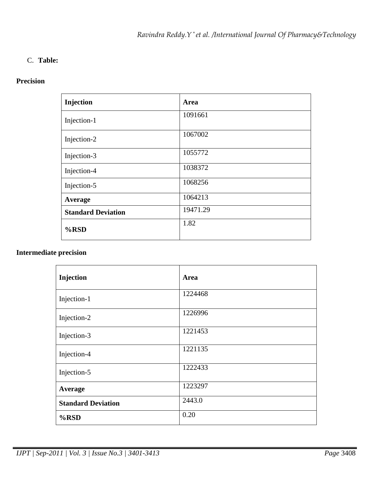# C. **Table:**

# **Precision**

| Injection                 | Area     |
|---------------------------|----------|
| Injection-1               | 1091661  |
| Injection-2               | 1067002  |
| Injection-3               | 1055772  |
| Injection-4               | 1038372  |
| Injection-5               | 1068256  |
| Average                   | 1064213  |
| <b>Standard Deviation</b> | 19471.29 |
| %RSD                      | 1.82     |

# **Intermediate precision**

| Injection                 | Area    |
|---------------------------|---------|
| Injection-1               | 1224468 |
| Injection-2               | 1226996 |
| Injection-3               | 1221453 |
| Injection-4               | 1221135 |
| Injection-5               | 1222433 |
| Average                   | 1223297 |
| <b>Standard Deviation</b> | 2443.0  |
| $%$ RSD                   | 0.20    |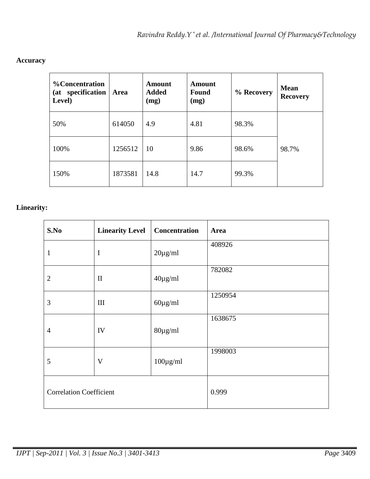| <b>%Concentration</b><br>(at specification<br>Level) | Area    | Amount<br><b>Added</b><br>(mg) | Amount<br><b>Found</b><br>(mg) | % Recovery | <b>Mean</b><br><b>Recovery</b> |
|------------------------------------------------------|---------|--------------------------------|--------------------------------|------------|--------------------------------|
| 50%                                                  | 614050  | 4.9                            | 4.81                           | 98.3%      |                                |
| 100%                                                 | 1256512 | 10                             | 9.86                           | 98.6%      | 98.7%                          |
| 150%                                                 | 1873581 | 14.8                           | 14.7                           | 99.3%      |                                |

# **Accuracy**

# **Linearity:**

| S.No                           | <b>Linearity Level</b> | <b>Concentration</b> | Area    |
|--------------------------------|------------------------|----------------------|---------|
| 1                              | $\mathbf I$            | $20\mu g/ml$         | 408926  |
| $\overline{2}$                 | $\rm II$               | $40\mu g/ml$         | 782082  |
| 3                              | $\rm III$              | $60 \mu g/ml$        | 1250954 |
| $\overline{4}$                 | IV                     | $80 \mu g/ml$        | 1638675 |
| 5                              | V                      | $100 \mu g/ml$       | 1998003 |
| <b>Correlation Coefficient</b> |                        |                      | 0.999   |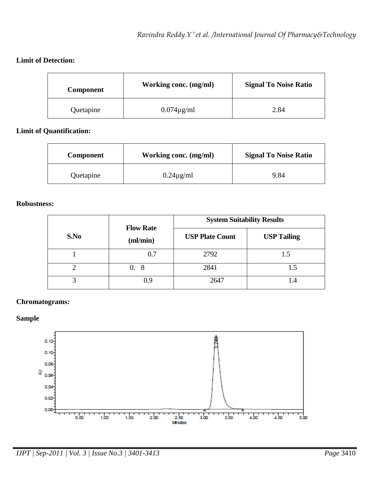# **Limit of Detection:**

| <b>Component</b> | Working conc. (mg/ml) | <b>Signal To Noise Ratio</b> |
|------------------|-----------------------|------------------------------|
| Quetapine        | $0.074\mu\text{g/ml}$ | 2.84                         |

# **Limit of Quantification:**

| <b>Component</b> | Working conc. (mg/ml) | <b>Signal To Noise Ratio</b> |
|------------------|-----------------------|------------------------------|
| Quetapine        | $0.24\mu\text{g/ml}$  | 9.84                         |

# **Robustness:**

|      | <b>Flow Rate</b><br>$m/m$ in) | <b>System Suitability Results</b> |                    |  |  |
|------|-------------------------------|-----------------------------------|--------------------|--|--|
| S.No |                               | <b>USP Plate Count</b>            | <b>USP Tailing</b> |  |  |
|      | 0.7                           | 2792                              | 1.5                |  |  |
|      | -8<br>0.                      | 2841                              | 1.5                |  |  |
|      | 0.9                           | 2647                              | I.4                |  |  |

#### **Chromatograms:**

# **Sample**

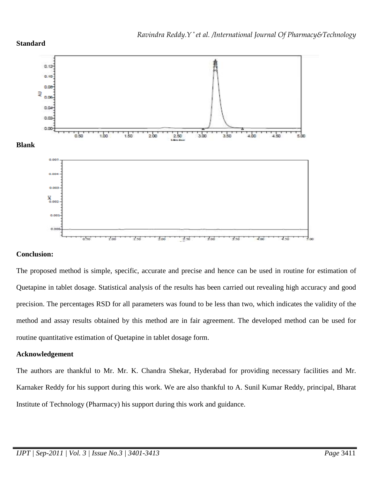

# **Conclusion:**

The proposed method is simple, specific, accurate and precise and hence can be used in routine for estimation of Quetapine in tablet dosage. Statistical analysis of the results has been carried out revealing high accuracy and good precision. The percentages RSD for all parameters was found to be less than two, which indicates the validity of the method and assay results obtained by this method are in fair agreement. The developed method can be used for routine quantitative estimation of Quetapine in tablet dosage form.

# **Acknowledgement**

The authors are thankful to Mr. Mr. K. Chandra Shekar, Hyderabad for providing necessary facilities and Mr. Karnaker Reddy for his support during this work. We are also thankful to A. Sunil Kumar Reddy, principal, Bharat Institute of Technology (Pharmacy) his support during this work and guidance.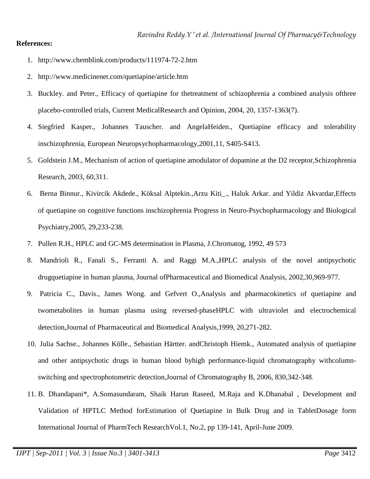#### **References:**

- 1. http://www.chemblink.com/products/111974-72-2.htm
- 2. http://www.medicinenet.com/quetiapine/article.htm
- 3. Buckley. and Peter., Efficacy of quetiapine for thetreatment of schizophrenia a combined analysis ofthree placebo-controlled trials, Current MedicalResearch and Opinion, 2004, 20, 1357-1363(7).
- 4. Siegfried Kasper., Johannes Tauscher. and AngelaHeiden., Quetiapine efficacy and tolerability inschizophrenia, European Neuropsychopharmacology,2001,11, S405-S413.
- 5. Goldstein J.M., Mechanism of action of quetiapine amodulator of dopamine at the D2 receptor,Schizophrenia Research, 2003, 60,311.
- 6. Berna Binnur., Kivircik Akdede., Köksal Alptekin.,Arzu Kiti\_., Haluk Arkar. and Yildiz Akvardar,Effects of quetiapine on cognitive functions inschizophrenia Progress in Neuro-Psychopharmacology and Biological Psychiatry,2005, 29,233-238.
- 7. Pullen R.H., HPLC and GC-MS determination in Plasma, J.Chromatog, 1992, 49 573
- 8. Mandrioli R., Fanali S., Ferranti A. and Raggi M.A.,HPLC analysis of the novel antipsychotic drugquetiapine in human plasma, Journal ofPharmaceutical and Biomedical Analysis, 2002,30,969-977.
- 9. Patricia C., Davis., James Wong. and Gefvert O.,Analysis and pharmacokinetics of quetiapine and twometabolites in human plasma using reversed-phaseHPLC with ultraviolet and electrochemical detection,Journal of Pharmaceutical and Biomedical Analysis,1999, 20,271-282.
- 10. Julia Sachse., Johannes Kölle., Sebastian Härtter. andChristoph Hiemk., Automated analysis of quetiapine and other antipsychotic drugs in human blood byhigh performance-liquid chromatography withcolumnswitching and spectrophotometric detection,Journal of Chromatography B, 2006, 830,342-348.
- 11. B. Dhandapani\*, A.Somasundaram, Shaik Harun Raseed, M.Raja and K.Dhanabal , Development and Validation of HPTLC Method forEstimation of Quetiapine in Bulk Drug and in TabletDosage form International Journal of PharmTech ResearchVol.1, No.2, pp 139-141, April-June 2009.